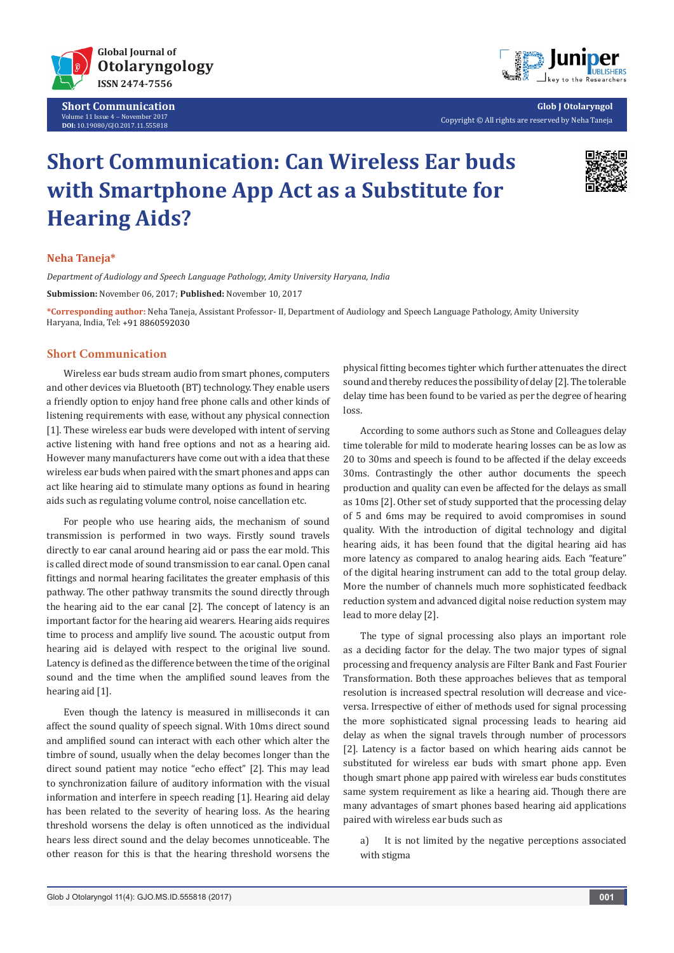

**Short Communication** Volume 11 Issue 4 - November 2017 **DOI:** [10.19080/GJO.2017.11.555818](http://dx.doi.org/10.19080/GJO.2017.11.555818)



**Glob J Otolaryngol** Copyright © All rights are reserved by Neha Taneja

# **Short Communication: Can Wireless Ear buds with Smartphone App Act as a Substitute for Hearing Aids?**



#### **Neha Taneja\***

*Department of Audiology and Speech Language Pathology, Amity University Haryana, India* **Submission:** November 06, 2017; **Published:** November 10, 2017

**\*Corresponding author:** Neha Taneja, Assistant Professor- II, Department of Audiology and Speech Language Pathology, Amity University Haryana, India, Tel:

#### **Short Communication**

Wireless ear buds stream audio from smart phones, computers and other devices via Bluetooth (BT) technology. They enable users a friendly option to enjoy hand free phone calls and other kinds of listening requirements with ease, without any physical connection [1]. These wireless ear buds were developed with intent of serving active listening with hand free options and not as a hearing aid. However many manufacturers have come out with a idea that these wireless ear buds when paired with the smart phones and apps can act like hearing aid to stimulate many options as found in hearing aids such as regulating volume control, noise cancellation etc.

For people who use hearing aids, the mechanism of sound transmission is performed in two ways. Firstly sound travels directly to ear canal around hearing aid or pass the ear mold. This is called direct mode of sound transmission to ear canal. Open canal fittings and normal hearing facilitates the greater emphasis of this pathway. The other pathway transmits the sound directly through the hearing aid to the ear canal [2]. The concept of latency is an important factor for the hearing aid wearers. Hearing aids requires time to process and amplify live sound. The acoustic output from hearing aid is delayed with respect to the original live sound. Latency is defined as the difference between the time of the original sound and the time when the amplified sound leaves from the hearing aid [1].

Even though the latency is measured in milliseconds it can affect the sound quality of speech signal. With 10ms direct sound and amplified sound can interact with each other which alter the timbre of sound, usually when the delay becomes longer than the direct sound patient may notice "echo effect" [2]. This may lead to synchronization failure of auditory information with the visual information and interfere in speech reading [1]. Hearing aid delay has been related to the severity of hearing loss. As the hearing threshold worsens the delay is often unnoticed as the individual hears less direct sound and the delay becomes unnoticeable. The other reason for this is that the hearing threshold worsens the

physical fitting becomes tighter which further attenuates the direct sound and thereby reduces the possibility of delay [2]. The tolerable delay time has been found to be varied as per the degree of hearing loss.

According to some authors such as Stone and Colleagues delay time tolerable for mild to moderate hearing losses can be as low as 20 to 30ms and speech is found to be affected if the delay exceeds 30ms. Contrastingly the other author documents the speech production and quality can even be affected for the delays as small as 10ms [2]. Other set of study supported that the processing delay of 5 and 6ms may be required to avoid compromises in sound quality. With the introduction of digital technology and digital hearing aids, it has been found that the digital hearing aid has more latency as compared to analog hearing aids. Each "feature" of the digital hearing instrument can add to the total group delay. More the number of channels much more sophisticated feedback reduction system and advanced digital noise reduction system may lead to more delay [2].

The type of signal processing also plays an important role as a deciding factor for the delay. The two major types of signal processing and frequency analysis are Filter Bank and Fast Fourier Transformation. Both these approaches believes that as temporal resolution is increased spectral resolution will decrease and viceversa. Irrespective of either of methods used for signal processing the more sophisticated signal processing leads to hearing aid delay as when the signal travels through number of processors [2]. Latency is a factor based on which hearing aids cannot be substituted for wireless ear buds with smart phone app. Even though smart phone app paired with wireless ear buds constitutes same system requirement as like a hearing aid. Though there are many advantages of smart phones based hearing aid applications paired with wireless ear buds such as

a) It is not limited by the negative perceptions associated with stigma